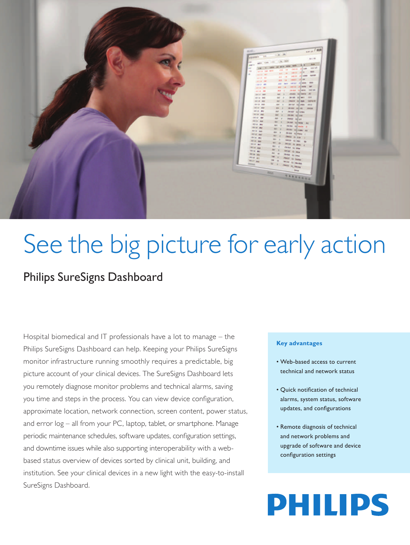

# See the big picture for early action

### Philips SureSigns Dashboard

Hospital biomedical and IT professionals have a lot to manage – the Philips SureSigns Dashboard can help. Keeping your Philips SureSigns monitor infrastructure running smoothly requires a predictable, big picture account of your clinical devices. The SureSigns Dashboard lets you remotely diagnose monitor problems and technical alarms, saving you time and steps in the process. You can view device configuration, approximate location, network connection, screen content, power status, and error log – all from your PC, laptop, tablet, or smartphone. Manage periodic maintenance schedules, software updates, configuration settings, and downtime issues while also supporting interoperability with a webbased status overview of devices sorted by clinical unit, building, and institution. See your clinical devices in a new light with the easy-to-install SureSigns Dashboard.

### **Key advantages**

- Web-based access to current technical and network status
- Quick notification of technical alarms, system status, software updates, and configurations
- Remote diagnosis of technical and network problems and upgrade of software and device configuration settings

## **PHILIPS**